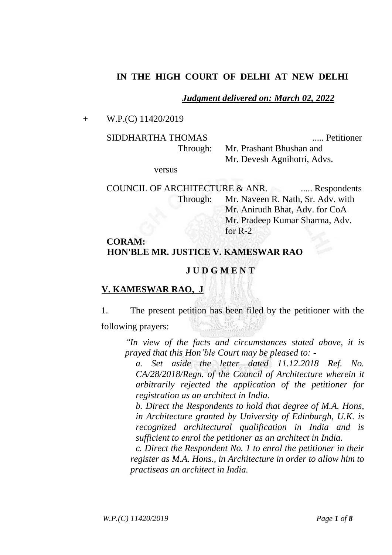## **IN THE HIGH COURT OF DELHI AT NEW DELHI**

#### *Judgment delivered on: March 02, 2022*

Mr. Devesh Agnihotri, Advs.

+ W.P.(C) 11420/2019

SIDDHARTHA THOMAS ..... Petitioner

Through: Mr. Prashant Bhushan and

versus

COUNCIL OF ARCHITECTURE & ANR. ...... Respondents Through: Mr. Naveen R. Nath, Sr. Adv. with Mr. Anirudh Bhat, Adv. for CoA Mr. Pradeep Kumar Sharma, Adv. for R-2

# **CORAM: HON'BLE MR. JUSTICE V. KAMESWAR RAO**

### **J U D G M E N T**

### **V. KAMESWAR RAO, J**

1. The present petition has been filed by the petitioner with the following prayers:

*"In view of the facts and circumstances stated above, it is prayed that this Hon'ble Court may be pleased to: -*

*a. Set aside the letter dated 11.12.2018 Ref. No. CA/28/2018/Regn. of the Council of Architecture wherein it arbitrarily rejected the application of the petitioner for registration as an architect in India.*

*b. Direct the Respondents to hold that degree of M.A. Hons, in Architecture granted by University of Edinburgh, U.K. is recognized architectural qualification in India and is sufficient to enrol the petitioner as an architect in India.* 

*c. Direct the Respondent No. 1 to enrol the petitioner in their register as M.A. Hons., in Architecture in order to allow him to practiseas an architect in India.*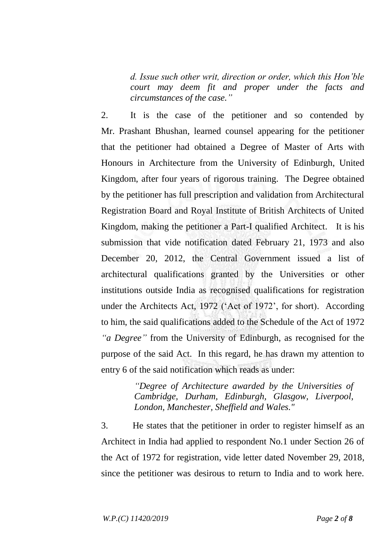*d. Issue such other writ, direction or order, which this Hon'ble court may deem fit and proper under the facts and circumstances of the case."*

2. It is the case of the petitioner and so contended by Mr. Prashant Bhushan, learned counsel appearing for the petitioner that the petitioner had obtained a Degree of Master of Arts with Honours in Architecture from the University of Edinburgh, United Kingdom, after four years of rigorous training. The Degree obtained by the petitioner has full prescription and validation from Architectural Registration Board and Royal Institute of British Architects of United Kingdom, making the petitioner a Part-I qualified Architect. It is his submission that vide notification dated February 21, 1973 and also December 20, 2012, the Central Government issued a list of architectural qualifications granted by the Universities or other institutions outside India as recognised qualifications for registration under the Architects Act, 1972 ('Act of 1972', for short). According to him, the said qualifications added to the Schedule of the Act of 1972 *"a Degree"* from the University of Edinburgh, as recognised for the purpose of the said Act. In this regard, he has drawn my attention to entry 6 of the said notification which reads as under:

> *"Degree of Architecture awarded by the Universities of Cambridge, Durham, Edinburgh, Glasgow, Liverpool, London, Manchester, Sheffield and Wales."*

3. He states that the petitioner in order to register himself as an Architect in India had applied to respondent No.1 under Section 26 of the Act of 1972 for registration, vide letter dated November 29, 2018, since the petitioner was desirous to return to India and to work here.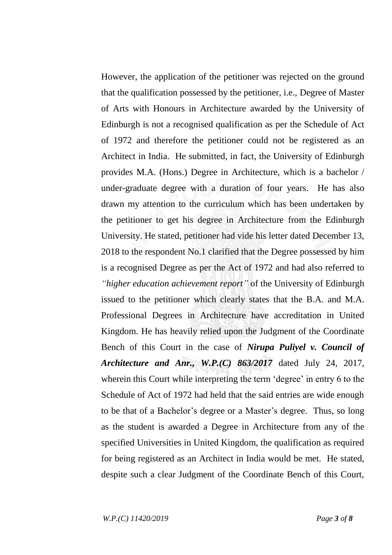However, the application of the petitioner was rejected on the ground that the qualification possessed by the petitioner, i.e., Degree of Master of Arts with Honours in Architecture awarded by the University of Edinburgh is not a recognised qualification as per the Schedule of Act of 1972 and therefore the petitioner could not be registered as an Architect in India. He submitted, in fact, the University of Edinburgh provides M.A. (Hons.) Degree in Architecture, which is a bachelor / under-graduate degree with a duration of four years. He has also drawn my attention to the curriculum which has been undertaken by the petitioner to get his degree in Architecture from the Edinburgh University. He stated, petitioner had vide his letter dated December 13, 2018 to the respondent No.1 clarified that the Degree possessed by him is a recognised Degree as per the Act of 1972 and had also referred to *"higher education achievement report"* of the University of Edinburgh issued to the petitioner which clearly states that the B.A. and M.A. Professional Degrees in Architecture have accreditation in United Kingdom. He has heavily relied upon the Judgment of the Coordinate Bench of this Court in the case of *Nirupa Puliyel v. Council of Architecture and Anr., W.P.(C) 863/2017* dated July 24, 2017, wherein this Court while interpreting the term 'degree' in entry 6 to the Schedule of Act of 1972 had held that the said entries are wide enough to be that of a Bachelor's degree or a Master's degree. Thus, so long as the student is awarded a Degree in Architecture from any of the specified Universities in United Kingdom, the qualification as required for being registered as an Architect in India would be met. He stated, despite such a clear Judgment of the Coordinate Bench of this Court,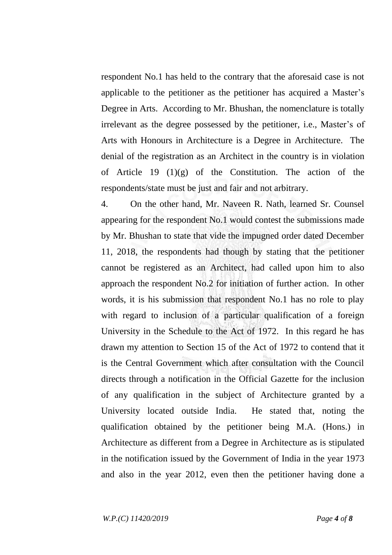respondent No.1 has held to the contrary that the aforesaid case is not applicable to the petitioner as the petitioner has acquired a Master's Degree in Arts. According to Mr. Bhushan, the nomenclature is totally irrelevant as the degree possessed by the petitioner, i.e., Master's of Arts with Honours in Architecture is a Degree in Architecture. The denial of the registration as an Architect in the country is in violation of Article 19  $(1)(g)$  of the Constitution. The action of the respondents/state must be just and fair and not arbitrary.

4. On the other hand, Mr. Naveen R. Nath, learned Sr. Counsel appearing for the respondent No.1 would contest the submissions made by Mr. Bhushan to state that vide the impugned order dated December 11, 2018, the respondents had though by stating that the petitioner cannot be registered as an Architect, had called upon him to also approach the respondent No.2 for initiation of further action. In other words, it is his submission that respondent No.1 has no role to play with regard to inclusion of a particular qualification of a foreign University in the Schedule to the Act of 1972. In this regard he has drawn my attention to Section 15 of the Act of 1972 to contend that it is the Central Government which after consultation with the Council directs through a notification in the Official Gazette for the inclusion of any qualification in the subject of Architecture granted by a University located outside India. He stated that, noting the qualification obtained by the petitioner being M.A. (Hons.) in Architecture as different from a Degree in Architecture as is stipulated in the notification issued by the Government of India in the year 1973 and also in the year 2012, even then the petitioner having done a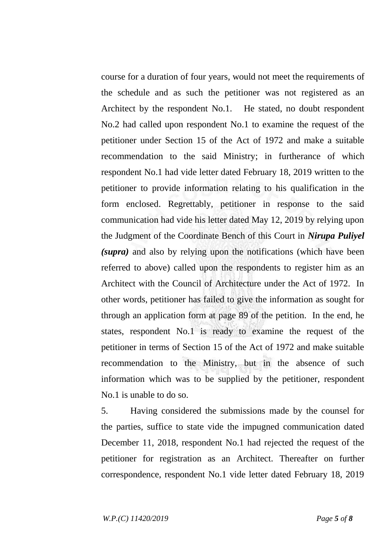course for a duration of four years, would not meet the requirements of the schedule and as such the petitioner was not registered as an Architect by the respondent No.1. He stated, no doubt respondent No.2 had called upon respondent No.1 to examine the request of the petitioner under Section 15 of the Act of 1972 and make a suitable recommendation to the said Ministry; in furtherance of which respondent No.1 had vide letter dated February 18, 2019 written to the petitioner to provide information relating to his qualification in the form enclosed. Regrettably, petitioner in response to the said communication had vide his letter dated May 12, 2019 by relying upon the Judgment of the Coordinate Bench of this Court in *Nirupa Puliyel (supra)* and also by relying upon the notifications (which have been referred to above) called upon the respondents to register him as an Architect with the Council of Architecture under the Act of 1972. In other words, petitioner has failed to give the information as sought for through an application form at page 89 of the petition. In the end, he states, respondent No.1 is ready to examine the request of the petitioner in terms of Section 15 of the Act of 1972 and make suitable recommendation to the Ministry, but in the absence of such information which was to be supplied by the petitioner, respondent No.1 is unable to do so.

5. Having considered the submissions made by the counsel for the parties, suffice to state vide the impugned communication dated December 11, 2018, respondent No.1 had rejected the request of the petitioner for registration as an Architect. Thereafter on further correspondence, respondent No.1 vide letter dated February 18, 2019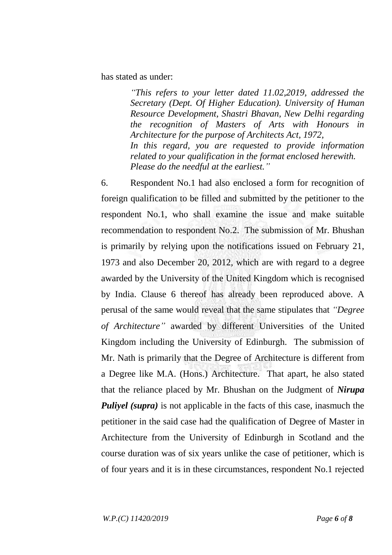has stated as under:

*"This refers to your letter dated 11.02,2019, addressed the Secretary (Dept. Of Higher Education). University of Human Resource Development, Shastri Bhavan, New Delhi regarding the recognition of Masters of Arts with Honours in Architecture for the purpose of Architects Act, 1972, In this regard, you are requested to provide information related to your qualification in the format enclosed herewith. Please do the needful at the earliest."*

6. Respondent No.1 had also enclosed a form for recognition of foreign qualification to be filled and submitted by the petitioner to the respondent No.1, who shall examine the issue and make suitable recommendation to respondent No.2. The submission of Mr. Bhushan is primarily by relying upon the notifications issued on February 21, 1973 and also December 20, 2012, which are with regard to a degree awarded by the University of the United Kingdom which is recognised by India. Clause 6 thereof has already been reproduced above. A perusal of the same would reveal that the same stipulates that *"Degree of Architecture"* awarded by different Universities of the United Kingdom including the University of Edinburgh. The submission of Mr. Nath is primarily that the Degree of Architecture is different from a Degree like M.A. (Hons.) Architecture. That apart, he also stated that the reliance placed by Mr. Bhushan on the Judgment of *Nirupa Puliyel (supra)* is not applicable in the facts of this case, inasmuch the petitioner in the said case had the qualification of Degree of Master in Architecture from the University of Edinburgh in Scotland and the course duration was of six years unlike the case of petitioner, which is of four years and it is in these circumstances, respondent No.1 rejected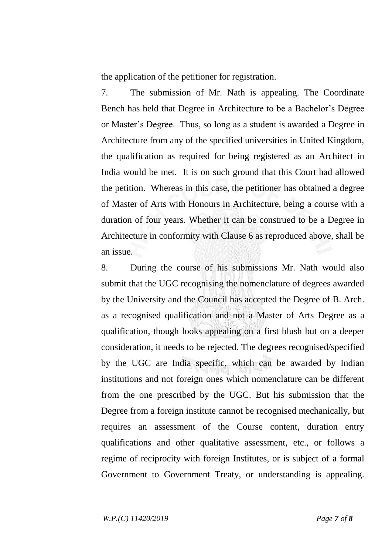the application of the petitioner for registration.

7. The submission of Mr. Nath is appealing. The Coordinate Bench has held that Degree in Architecture to be a Bachelor's Degree or Master's Degree. Thus, so long as a student is awarded a Degree in Architecture from any of the specified universities in United Kingdom, the qualification as required for being registered as an Architect in India would be met. It is on such ground that this Court had allowed the petition. Whereas in this case, the petitioner has obtained a degree of Master of Arts with Honours in Architecture, being a course with a duration of four years. Whether it can be construed to be a Degree in Architecture in conformity with Clause 6 as reproduced above, shall be an issue.

8. During the course of his submissions Mr. Nath would also submit that the UGC recognising the nomenclature of degrees awarded by the University and the Council has accepted the Degree of B. Arch. as a recognised qualification and not a Master of Arts Degree as a qualification, though looks appealing on a first blush but on a deeper consideration, it needs to be rejected. The degrees recognised/specified by the UGC are India specific, which can be awarded by Indian institutions and not foreign ones which nomenclature can be different from the one prescribed by the UGC. But his submission that the Degree from a foreign institute cannot be recognised mechanically, but requires an assessment of the Course content, duration entry qualifications and other qualitative assessment, etc., or follows a regime of reciprocity with foreign Institutes, or is subject of a formal Government to Government Treaty, or understanding is appealing.